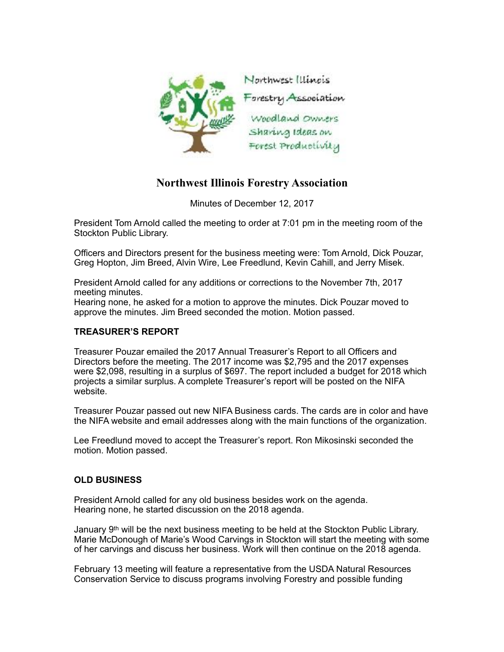

## **Northwest Illinois Forestry Association**

Minutes of December 12, 2017

President Tom Arnold called the meeting to order at 7:01 pm in the meeting room of the Stockton Public Library.

Officers and Directors present for the business meeting were: Tom Arnold, Dick Pouzar, Greg Hopton, Jim Breed, Alvin Wire, Lee Freedlund, Kevin Cahill, and Jerry Misek.

President Arnold called for any additions or corrections to the November 7th, 2017 meeting minutes.

Hearing none, he asked for a motion to approve the minutes. Dick Pouzar moved to approve the minutes. Jim Breed seconded the motion. Motion passed.

## **TREASURER'S REPORT**

Treasurer Pouzar emailed the 2017 Annual Treasurer's Report to all Officers and Directors before the meeting. The 2017 income was \$2,795 and the 2017 expenses were \$2,098, resulting in a surplus of \$697. The report included a budget for 2018 which projects a similar surplus. A complete Treasurer's report will be posted on the NIFA website.

Treasurer Pouzar passed out new NIFA Business cards. The cards are in color and have the NIFA website and email addresses along with the main functions of the organization.

Lee Freedlund moved to accept the Treasurer's report. Ron Mikosinski seconded the motion. Motion passed.

## **OLD BUSINESS**

President Arnold called for any old business besides work on the agenda. Hearing none, he started discussion on the 2018 agenda.

January 9<sup>th</sup> will be the next business meeting to be held at the Stockton Public Library. Marie McDonough of Marie's Wood Carvings in Stockton will start the meeting with some of her carvings and discuss her business. Work will then continue on the 2018 agenda.

February 13 meeting will feature a representative from the USDA Natural Resources Conservation Service to discuss programs involving Forestry and possible funding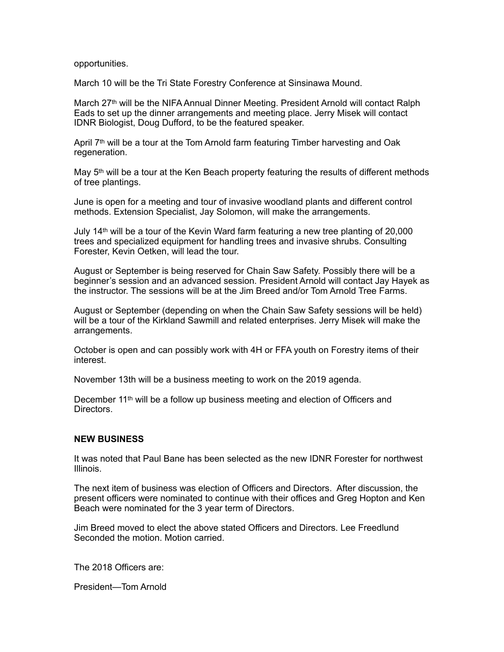opportunities.

March 10 will be the Tri State Forestry Conference at Sinsinawa Mound.

March 27th will be the NIFA Annual Dinner Meeting. President Arnold will contact Ralph Eads to set up the dinner arrangements and meeting place. Jerry Misek will contact IDNR Biologist, Doug Dufford, to be the featured speaker.

April  $7<sup>th</sup>$  will be a tour at the Tom Arnold farm featuring Timber harvesting and Oak regeneration.

May 5<sup>th</sup> will be a tour at the Ken Beach property featuring the results of different methods of tree plantings.

June is open for a meeting and tour of invasive woodland plants and different control methods. Extension Specialist, Jay Solomon, will make the arrangements.

July 14<sup>th</sup> will be a tour of the Kevin Ward farm featuring a new tree planting of 20,000 trees and specialized equipment for handling trees and invasive shrubs. Consulting Forester, Kevin Oetken, will lead the tour.

August or September is being reserved for Chain Saw Safety. Possibly there will be a beginner's session and an advanced session. President Arnold will contact Jay Hayek as the instructor. The sessions will be at the Jim Breed and/or Tom Arnold Tree Farms.

August or September (depending on when the Chain Saw Safety sessions will be held) will be a tour of the Kirkland Sawmill and related enterprises. Jerry Misek will make the arrangements.

October is open and can possibly work with 4H or FFA youth on Forestry items of their interest.

November 13th will be a business meeting to work on the 2019 agenda.

December 11<sup>th</sup> will be a follow up business meeting and election of Officers and Directors.

## **NEW BUSINESS**

It was noted that Paul Bane has been selected as the new IDNR Forester for northwest Illinois.

The next item of business was election of Officers and Directors. After discussion, the present officers were nominated to continue with their offices and Greg Hopton and Ken Beach were nominated for the 3 year term of Directors.

Jim Breed moved to elect the above stated Officers and Directors. Lee Freedlund Seconded the motion. Motion carried.

The 2018 Officers are:

President—Tom Arnold